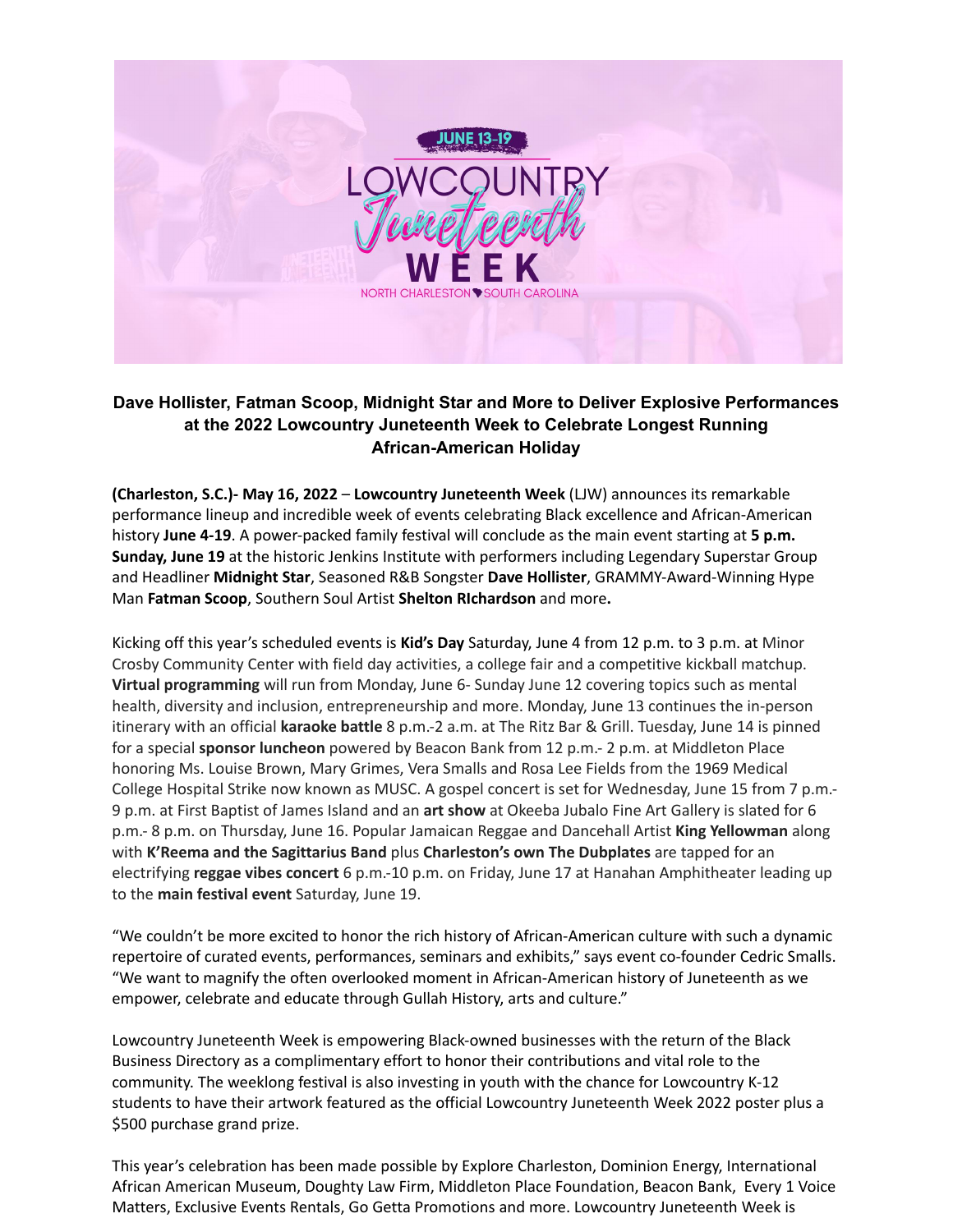

## **Dave Hollister, Fatman Scoop, Midnight Star and More to Deliver Explosive Performances at the 2022 Lowcountry Juneteenth Week to Celebrate Longest Running African-American Holiday**

**(Charleston, S.C.)- May 16, 2022** – **Lowcountry Juneteenth Week** (LJW) announces its remarkable performance lineup and incredible week of events celebrating Black excellence and African-American history **June 4-19**. A power-packed family festival will conclude as the main event starting at **5 p.m. Sunday, June 19** at the historic Jenkins Institute with performers including Legendary Superstar Group and Headliner **Midnight Star**, Seasoned R&B Songster **Dave Hollister**, GRAMMY-Award-Winning Hype Man **Fatman Scoop**, Southern Soul Artist **Shelton RIchardson** and more**.**

Kicking off this year's scheduled events is **Kid's Day** Saturday, June 4 from 12 p.m. to 3 p.m. at Minor Crosby Community Center with field day activities, a college fair and a competitive kickball matchup. **Virtual programming** will run from Monday, June 6- Sunday June 12 covering topics such as mental health, diversity and inclusion, entrepreneurship and more. Monday, June 13 continues the in-person itinerary with an official **karaoke battle** 8 p.m.-2 a.m. at The Ritz Bar & Grill. Tuesday, June 14 is pinned for a special **sponsor luncheon** powered by Beacon Bank from 12 p.m.- 2 p.m. at Middleton Place honoring Ms. Louise Brown, Mary Grimes, Vera Smalls and Rosa Lee Fields from the 1969 Medical College Hospital Strike now known as MUSC. A gospel concert is set for Wednesday, June 15 from 7 p.m.- 9 p.m. at First Baptist of James Island and an **art show** at Okeeba Jubalo Fine Art Gallery is slated for 6 p.m.- 8 p.m. on Thursday, June 16. Popular Jamaican Reggae and Dancehall Artist **King Yellowman** along with **K'Reema and the Sagittarius Band** plus **Charleston's own The Dubplates** are tapped for an electrifying **reggae vibes concert** 6 p.m.-10 p.m. on Friday, June 17 at Hanahan Amphitheater leading up to the **main festival event** Saturday, June 19.

"We couldn't be more excited to honor the rich history of African-American culture with such a dynamic repertoire of curated events, performances, seminars and exhibits," says event co-founder Cedric Smalls. "We want to magnify the often overlooked moment in African-American history of Juneteenth as we empower, celebrate and educate through Gullah History, arts and culture."

Lowcountry Juneteenth Week is empowering Black-owned businesses with the return of the Black Business Directory as a complimentary effort to honor their contributions and vital role to the community. The weeklong festival is also investing in youth with the chance for Lowcountry K-12 students to have their artwork featured as the official Lowcountry Juneteenth Week 2022 poster plus a \$500 purchase grand prize.

This year's celebration has been made possible by Explore Charleston, Dominion Energy, International African American Museum, Doughty Law Firm, Middleton Place Foundation, Beacon Bank, Every 1 Voice Matters, Exclusive Events Rentals, Go Getta Promotions and more. Lowcountry Juneteenth Week is